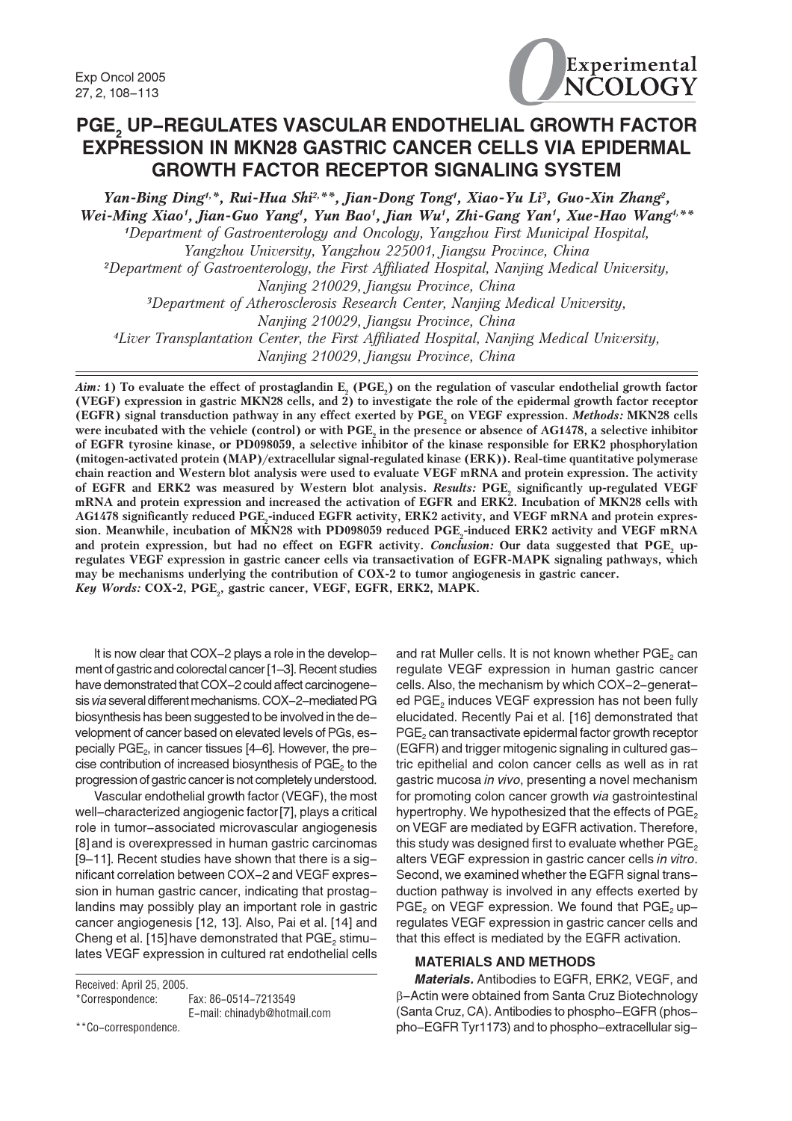Exp Oncol 2005 27, 2, 108-113



# PGE, UP-REGULATES VASCULAR ENDOTHELIAL GROWTH FACTOR **EXPRESSION IN MKN28 GASTRIC CANCER CELLS VIA EPIDERMAL GROWTH FACTOR RECEPTOR SIGNALING SYSTEM**

Yan-Bing Ding<sup>4,\*</sup>, Rui-Hua Shi<sup>2,\*\*</sup>, Jian-Dong Tong<sup>4</sup>, Xiao-Yu Li<sup>3</sup>, Guo-Xin Zhang<sup>2</sup>, Wei-Ming Xiao<sup>1</sup>, Jian-Guo Yang<sup>1</sup>, Yun Bao<sup>1</sup>, Jian Wu<sup>1</sup>, Zhi-Gang Yan<sup>1</sup>, Xue-Hao Wang<sup>4,\*\*</sup> <sup>1</sup>Department of Gastroenterology and Oncology, Yangzhou First Municipal Hospital, Yangzhou University, Yangzhou 225001, Jiangsu Province, China <sup>2</sup>Department of Gastroenterology, the First Affiliated Hospital, Nanjing Medical University, Nanjing 210029, Jiangsu Province, China <sup>3</sup>Department of Atherosclerosis Research Center, Nanjing Medical University, Nanjing 210029, Jiangsu Province, China <sup>4</sup>Liver Transplantation Center, the First Affiliated Hospital, Nanjing Medical University, Nanjing 210029, Jiangsu Province, China

Aim: 1) To evaluate the effect of prostaglandin E, (PGE,) on the regulation of vascular endothelial growth factor (VEGF) expression in gastric MKN28 cells, and  $\hat{2}$ ) to investigate the role of the epidermal growth factor receptor (EGFR) signal transduction pathway in any effect exerted by PGE, on VEGF expression. Methods: MKN28 cells were incubated with the vehicle (control) or with PGE, in the presence or absence of AG1478, a selective inhibitor of EGFR tyrosine kinase, or PD098059, a selective inhibitor of the kinase responsible for ERK2 phosphorylation (mitogen-activated protein (MAP)/extracellular signal-regulated kinase (ERK)). Real-time quantitative polymerase chain reaction and Western blot analysis were used to evaluate VEGF mRNA and protein expression. The activity of EGFR and ERK2 was measured by Western blot analysis. Results: PGE, significantly up-regulated VEGF mRNA and protein expression and increased the activation of EGFR and ERK2. Incubation of MKN28 cells with AG1478 significantly reduced PGE,-induced EGFR activity, ERK2 activity, and VEGF mRNA and protein expression. Meanwhile, incubation of MKN28 with PD098059 reduced PGE<sub>2</sub>-induced ERK2 activity and VEGF mRNA and protein expression, but had no effect on EGFR activity. Conclusion: Our data suggested that PGE, upregulates VEGF expression in gastric cancer cells via transactivation of EGFR-MAPK signaling pathways, which may be mechanisms underlying the contribution of COX-2 to tumor angiogenesis in gastric cancer. Key Words: COX-2, PGE, gastric cancer, VEGF, EGFR, ERK2, MAPK.

It is now clear that COX-2 plays a role in the development of gastric and colorectal cancer [1-3]. Recent studies have demonstrated that COX-2 could affect carcinogenesis via several different mechanisms. COX-2-mediated PG biosynthesis has been suggested to be involved in the development of cancer based on elevated levels of PGs, especially PGE<sub>2</sub>, in cancer tissues [4-6]. However, the precise contribution of increased biosynthesis of  $PGE<sub>2</sub>$  to the progression of gastric cancer is not completely understood.

Vascular endothelial growth factor (VEGF), the most well-characterized angiogenic factor [7], plays a critical role in tumor-associated microvascular angiogenesis [8] and is overexpressed in human gastric carcinomas [9-11]. Recent studies have shown that there is a significant correlation between COX-2 and VEGF expression in human gastric cancer, indicating that prostaglandins may possibly play an important role in gastric cancer angiogenesis [12, 13]. Also, Pai et al. [14] and Cheng et al. [15] have demonstrated that PGE<sub>2</sub> stimulates VEGF expression in cultured rat endothelial cells

Received: April 25, 2005 \*Correspondence:

Fax: 86-0514-7213549 E-mail: chinadvb@hotmail.com

\*\*Co-correspondence

and rat Muller cells. It is not known whether PGE<sub>2</sub> can regulate VEGF expression in human gastric cancer cells. Also, the mechanism by which COX-2-generated  $PGE<sub>2</sub>$  induces VEGF expression has not been fully elucidated. Recently Pai et al. [16] demonstrated that PGE<sub>2</sub> can transactivate epidermal factor growth receptor (EGFR) and trigger mitogenic signaling in cultured gastric epithelial and colon cancer cells as well as in rat gastric mucosa in vivo, presenting a novel mechanism for promoting colon cancer growth via gastrointestinal hypertrophy. We hypothesized that the effects of PGE<sub>2</sub> on VEGF are mediated by EGFR activation. Therefore, this study was designed first to evaluate whether PGE, alters VEGF expression in gastric cancer cells in vitro. Second, we examined whether the EGFR signal transduction pathway is involved in any effects exerted by PGE<sub>2</sub> on VEGF expression. We found that PGE<sub>2</sub> upregulates VEGF expression in gastric cancer cells and that this effect is mediated by the EGFR activation.

### **MATERIALS AND METHODS**

Materials. Antibodies to EGFR, ERK2, VEGF, and β-Actin were obtained from Santa Cruz Biotechnology (Santa Cruz, CA). Antibodies to phospho-EGFR (phospho-EGFR Tyr1173) and to phospho-extracellular sig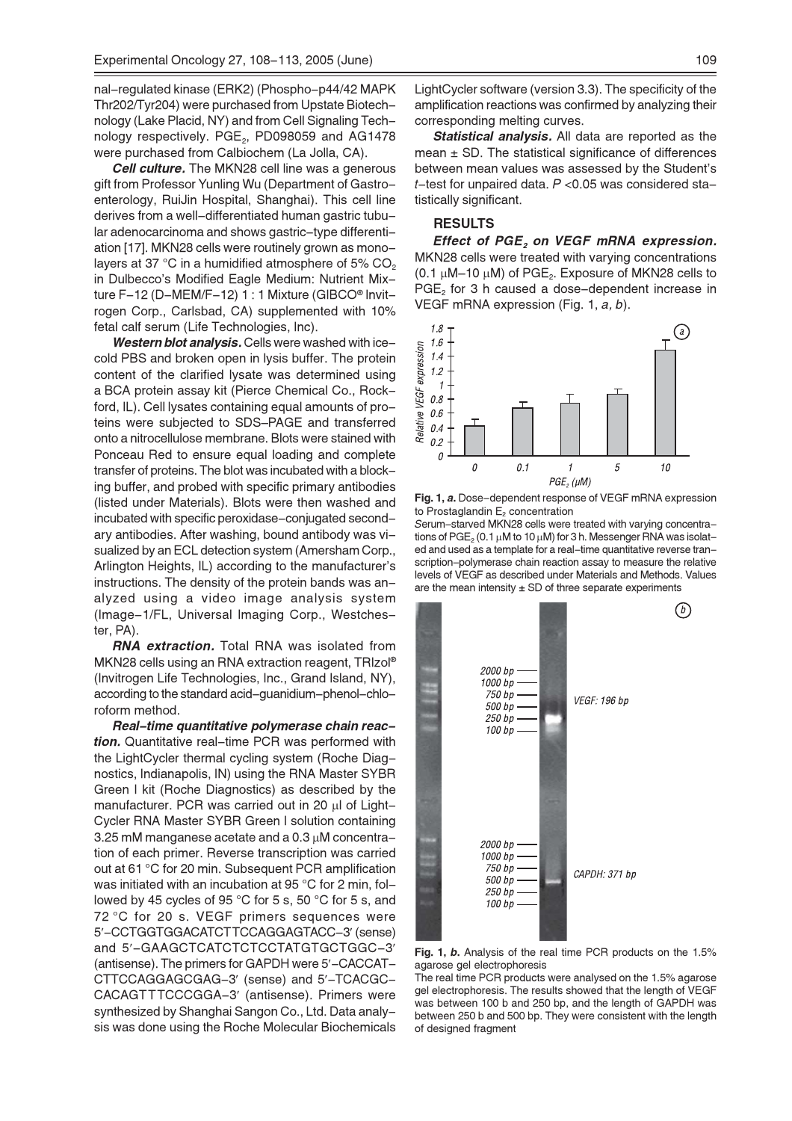nal-regulated kinase (ERK2) (Phospho-p44/42 MAPK Thr202/Tyr204) were purchased from Upstate Biotechnology (Lake Placid, NY) and from Cell Signaling Technology respectively. PGE<sub>2</sub>, PD098059 and AG1478 were purchased from Calbiochem (La Jolla, CA).

**Cell culture.** The MKN28 cell line was a generous gift from Professor Yunling Wu (Department of Gastroenterology, RuiJin Hospital, Shanghai). This cell line derives from a well-differentiated human gastric tubular adenocarcinoma and shows gastric-type differentiation [17]. MKN28 cells were routinely grown as monolayers at 37 °C in a humidified atmosphere of 5% CO<sub>2</sub> in Dulbecco's Modified Eagle Medium: Nutrient Mixture F-12 (D-MEM/F-12) 1 : 1 Mixture (GIBCO<sup>®</sup> Invitrogen Corp., Carlsbad, CA) supplemented with 10% fetal calf serum (Life Technologies, Inc).

Western blot analysis. Cells were washed with icecold PBS and broken open in lysis buffer. The protein content of the clarified lysate was determined using a BCA protein assay kit (Pierce Chemical Co., Rockford, IL). Cell lysates containing equal amounts of proteins were subjected to SDS-PAGE and transferred onto a nitrocellulose membrane. Blots were stained with Ponceau Red to ensure equal loading and complete transfer of proteins. The blot was incubated with a blocking buffer, and probed with specific primary antibodies (listed under Materials). Blots were then washed and incubated with specific peroxidase-conjugated secondary antibodies. After washing, bound antibody was visualized by an ECL detection system (Amersham Corp., Arlington Heights, IL) according to the manufacturer's instructions. The density of the protein bands was analyzed using a video image analysis system (Image-1/FL, Universal Imaging Corp., Westchester, PA).

**RNA extraction.** Total RNA was isolated from MKN28 cells using an RNA extraction reagent, TRIzol® (Invitrogen Life Technologies, Inc., Grand Island, NY), according to the standard acid-guanidium-phenol-chloroform method.

Real-time quantitative polymerase chain reaction. Quantitative real-time PCR was performed with the LightCycler thermal cycling system (Roche Diagnostics, Indianapolis, IN) using the RNA Master SYBR Green I kit (Roche Diagnostics) as described by the manufacturer. PCR was carried out in 20 µl of Light-Cycler RNA Master SYBR Green I solution containing 3.25 mM manganese acetate and a 0.3 µM concentration of each primer. Reverse transcription was carried out at 61 °C for 20 min. Subsequent PCR amplification was initiated with an incubation at 95 °C for 2 min, followed by 45 cycles of 95 °C for 5 s, 50 °C for 5 s, and 72 °C for 20 s. VEGF primers sequences were 5'-CCTGGTGGACATCTTCCAGGAGTACC-3' (sense) and 5'-GAAGCTCATCTCTCCTATGTGCTGGC-3' (antisense). The primers for GAPDH were 5'-CACCAT-CTTCCAGGAGCGAG-3' (sense) and 5'-TCACGC-CACAGTTTCCCGGA-3' (antisense). Primers were synthesized by Shanghai Sangon Co., Ltd. Data analysis was done using the Roche Molecular Biochemicals LightCycler software (version 3.3). The specificity of the amplification reactions was confirmed by analyzing their corresponding melting curves.

Statistical analysis. All data are reported as the mean  $\pm$  SD. The statistical significance of differences between mean values was assessed by the Student's  $t$ -test for unpaired data,  $P$  <0.05 was considered statistically significant.

#### **RESULTS**

Effect of PGE, on VEGF mRNA expression. MKN28 cells were treated with varying concentrations (0.1  $\mu$ M-10  $\mu$ M) of PGE<sub>2</sub>. Exposure of MKN28 cells to PGE<sub>2</sub> for 3 h caused a dose-dependent increase in VEGF mRNA expression (Fig. 1, a, b).



Fig. 1, a. Dose-dependent response of VEGF mRNA expression to Prostaglandin E<sub>2</sub> concentration

Serum-starved MKN28 cells were treated with varying concentrations of PGE<sub>2</sub> (0.1  $\mu$ M to 10  $\mu$ M) for 3 h. Messenger RNA was isolated and used as a template for a real-time quantitative reverse transcription-polymerase chain reaction assay to measure the relative levels of VEGF as described under Materials and Methods. Values are the mean intensity  $\pm$  SD of three separate experiments



Fig. 1, b. Analysis of the real time PCR products on the 1.5% agarose gel electrophoresis

The real time PCR products were analysed on the 1.5% agarose gel electrophoresis. The results showed that the length of VEGF was between 100 b and 250 bp, and the length of GAPDH was between 250 b and 500 bp. They were consistent with the length of designed fragment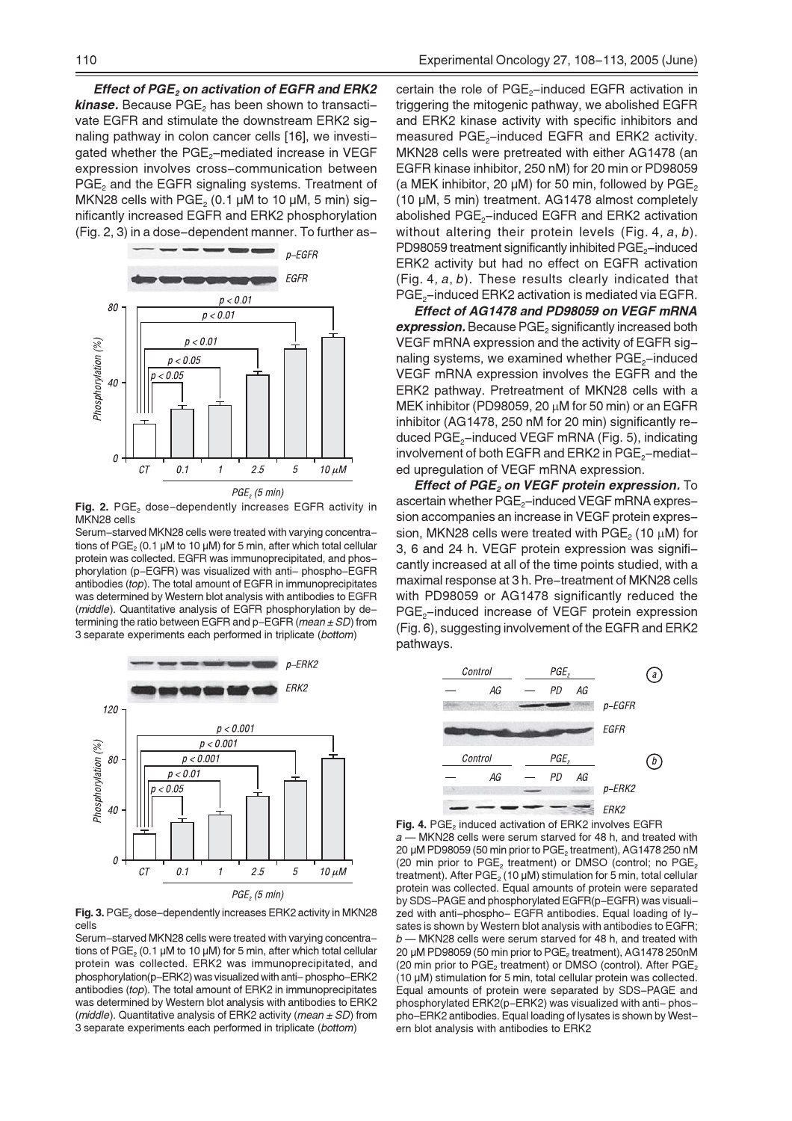**Effect of PGE, on activation of EGFR and ERK2 kinase.** Because  $PGE_2$  has been shown to transactivate EGFR and stimulate the downstream ERK2 signaling pathway in colon cancer cells [16], we investigated whether the PGE<sub>2</sub>-mediated increase in VEGF expression involves cross-communication between PGE<sub>2</sub> and the EGFR signaling systems. Treatment of MKN28 cells with PGE<sub>2</sub> (0.1  $\mu$ M to 10  $\mu$ M, 5 min) significantly increased EGFR and ERK2 phosphorylation (Fig. 2, 3) in a dose-dependent manner. To further as-



Fig. 2. PGE, dose-dependently increases EGFR activity in MKN28 cells

Serum-starved MKN28 cells were treated with varying concentrations of PGE<sub>2</sub> (0.1 µM to 10 µM) for 5 min, after which total cellular protein was collected. EGFR was immunoprecipitated, and phosphorylation (p-EGFR) was visualized with anti- phospho-EGFR antibodies (top). The total amount of EGFR in immunoprecipitates was determined by Western blot analysis with antibodies to EGFR (middle). Quantitative analysis of EGFR phosphorylation by determining the ratio between EGFR and  $p$ –EGFR (*mean*  $\pm$  *SD*) from 3 separate experiments each performed in triplicate (bottom)



Fig. 3. PGE, dose-dependently increases ERK2 activity in MKN28 cells

Serum-starved MKN28 cells were treated with varying concentrations of  $PGE_2$  (0.1 µM to 10 µM) for 5 min, after which total cellular protein was collected. ERK2 was immunoprecipitated, and phosphorylation(p-ERK2) was visualized with anti-phospho-ERK2 antibodies (top). The total amount of ERK2 in immunoprecipitates was determined by Western blot analysis with antibodies to ERK2 (middle). Quantitative analysis of ERK2 activity (mean  $\pm$  SD) from 3 separate experiments each performed in triplicate (bottom)

certain the role of PGE<sub>2</sub>-induced EGFR activation in triggering the mitogenic pathway, we abolished EGFR and ERK2 kinase activity with specific inhibitors and measured PGE<sub>2</sub>-induced EGFR and ERK2 activity. MKN28 cells were pretreated with either AG1478 (an EGFR kinase inhibitor, 250 nM) for 20 min or PD98059 (a MEK inhibitor, 20 µM) for 50 min, followed by PGE<sub>2</sub> (10 µM, 5 min) treatment. AG1478 almost completely abolished PGE<sub>2</sub>-induced EGFR and ERK2 activation without altering their protein levels (Fig. 4,  $a, b$ ). PD98059 treatment significantly inhibited PGE<sub>2</sub>-induced ERK2 activity but had no effect on EGFR activation  $(Fig. 4, a, b)$ . These results clearly indicated that PGE<sub>2</sub>-induced ERK2 activation is mediated via EGFR.

Effect of AG1478 and PD98059 on VEGF mRNA expression. Because PGE<sub>2</sub> significantly increased both VEGF mRNA expression and the activity of EGFR signaling systems, we examined whether PGE<sub>2</sub>-induced VEGF mRNA expression involves the EGFR and the ERK2 pathway. Pretreatment of MKN28 cells with a MEK inhibitor (PD98059, 20  $\mu$ M for 50 min) or an EGFR inhibitor (AG1478, 250 nM for 20 min) significantly reduced PGE<sub>2</sub>-induced VEGF mRNA (Fig. 5), indicating involvement of both EGFR and ERK2 in PGE<sub>2</sub>-mediated upregulation of VEGF mRNA expression.

Effect of PGE, on VEGF protein expression. To ascertain whether PGE<sub>2</sub>-induced VEGF mRNA expression accompanies an increase in VEGF protein expression. MKN28 cells were treated with PGE<sub>2</sub> (10 uM) for 3, 6 and 24 h. VEGF protein expression was significantly increased at all of the time points studied, with a maximal response at 3 h. Pre-treatment of MKN28 cells with PD98059 or AG1478 significantly reduced the PGE<sub>2</sub>-induced increase of VEGF protein expression (Fig. 6), suggesting involvement of the EGFR and ERK2 pathways.



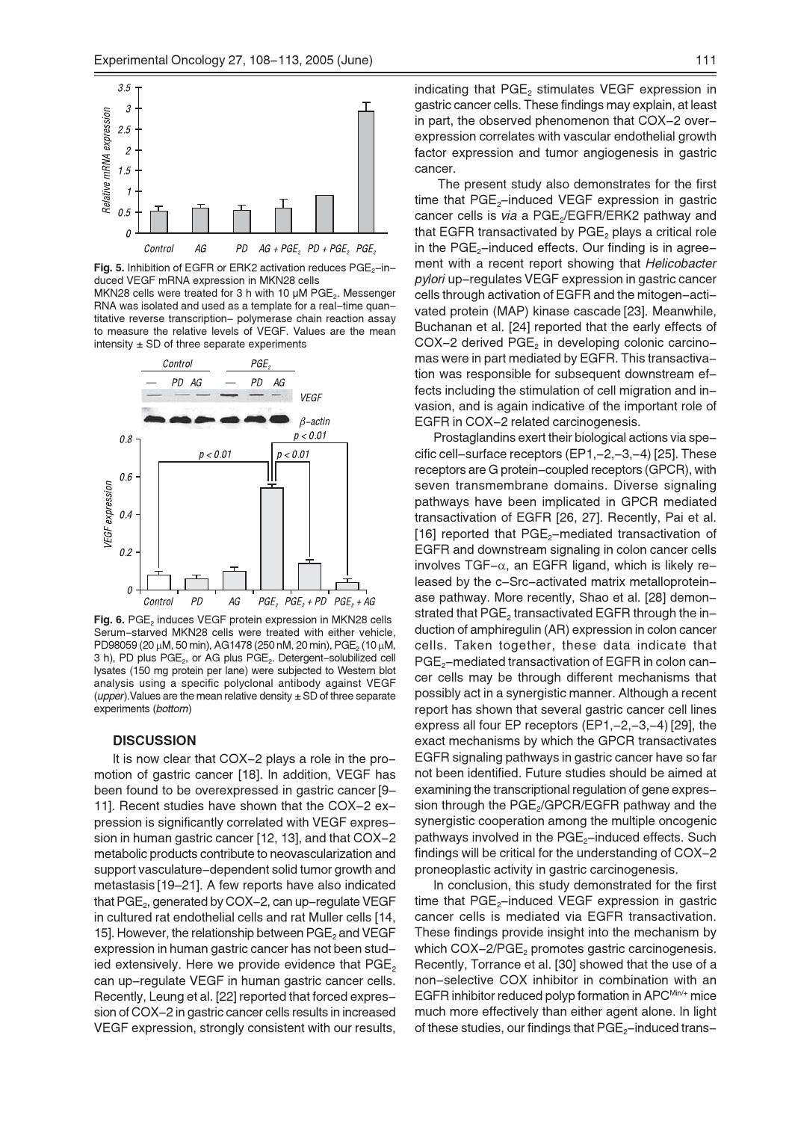

Fig. 5. Inhibition of EGFR or ERK2 activation reduces PGE<sub>2</sub>-induced VEGF mRNA expression in MKN28 cells

MKN28 cells were treated for 3 h with 10 µM PGE<sub>2</sub>. Messenger RNA was isolated and used as a template for a real-time quantitative reverse transcription- polymerase chain reaction assay to measure the relative levels of VEGF. Values are the mean intensity  $\pm$  SD of three separate experiments



Fig. 6. PGE, induces VEGF protein expression in MKN28 cells Serum-starved MKN28 cells were treated with either vehicle, PD98059 (20 µM, 50 min), AG1478 (250 nM, 20 min), PGE<sub>2</sub> (10 µM, 3 h), PD plus PGE<sub>2</sub>, or AG plus PGE<sub>2</sub>. Detergent-solubilized cell lysates (150 mg protein per lane) were subjected to Western blot analysis using a specific polyclonal antibody against VEGF (*upper*). Values are the mean relative density  $\pm$  SD of three separate experiments (bottom)

### **DISCUSSION**

It is now clear that COX-2 plays a role in the promotion of gastric cancer [18]. In addition, VEGF has been found to be overexpressed in gastric cancer [9– 11]. Recent studies have shown that the COX-2 expression is significantly correlated with VEGF expression in human gastric cancer [12, 13], and that COX-2 metabolic products contribute to neovascularization and support vasculature-dependent solid tumor growth and metastasis [19-21]. A few reports have also indicated that PGE<sub>2</sub>, generated by COX-2, can up-regulate VEGF in cultured rat endothelial cells and rat Muller cells [14, 15]. However, the relationship between PGE<sub>2</sub> and VEGF expression in human gastric cancer has not been studied extensively. Here we provide evidence that  $PGE_2$ can up-regulate VEGF in human gastric cancer cells. Recently, Leung et al. [22] reported that forced expression of COX-2 in gastric cancer cells results in increased VEGF expression, strongly consistent with our results,

indicating that PGE, stimulates VEGF expression in gastric cancer cells. These findings may explain, at least in part, the observed phenomenon that COX-2 overexpression correlates with vascular endothelial growth factor expression and tumor angiogenesis in gastric cancer.

The present study also demonstrates for the first time that PGE<sub>2</sub>-induced VEGF expression in gastric cancer cells is via a PGE<sub>2</sub>/EGFR/ERK2 pathway and that EGFR transactivated by  $PGE_2$  plays a critical role in the  $PGE_2$ -induced effects. Our finding is in agreement with a recent report showing that Helicobacter pylori up-regulates VEGF expression in gastric cancer cells through activation of EGFR and the mitogen-activated protein (MAP) kinase cascade [23]. Meanwhile, Buchanan et al. [24] reported that the early effects of COX-2 derived PGE<sub>2</sub> in developing colonic carcinomas were in part mediated by EGFR. This transactivation was responsible for subsequent downstream effects including the stimulation of cell migration and invasion, and is again indicative of the important role of EGFR in COX-2 related carcinogenesis.

Prostaglandins exert their biological actions via specific cell-surface receptors (EP1,-2,-3,-4) [25]. These receptors are G protein-coupled receptors (GPCR), with seven transmembrane domains. Diverse signaling pathways have been implicated in GPCR mediated transactivation of EGFR [26, 27]. Recently, Pai et al. [16] reported that PGE<sub>2</sub>-mediated transactivation of EGFR and downstream signaling in colon cancer cells involves TGF $-\alpha$ , an EGFR ligand, which is likely released by the c-Src-activated matrix metalloproteinase pathway. More recently, Shao et al. [28] demonstrated that PGE<sub>2</sub> transactivated EGFR through the induction of amphiregulin (AR) expression in colon cancer cells. Taken together, these data indicate that PGE<sub>2</sub>-mediated transactivation of EGFR in colon cancer cells may be through different mechanisms that possibly act in a synergistic manner. Although a recent report has shown that several gastric cancer cell lines express all four EP receptors (EP1,-2,-3,-4) [29], the exact mechanisms by which the GPCR transactivates EGFR signaling pathways in gastric cancer have so far not been identified. Future studies should be aimed at examining the transcriptional regulation of gene expression through the  $PGE_{2}/GPCR/EGFR$  pathway and the synergistic cooperation among the multiple oncogenic pathways involved in the PGE<sub>2</sub>-induced effects. Such findings will be critical for the understanding of COX-2 proneoplastic activity in gastric carcinogenesis.

In conclusion, this study demonstrated for the first time that PGE<sub>2</sub>-induced VEGF expression in gastric cancer cells is mediated via EGFR transactivation. These findings provide insight into the mechanism by which COX-2/PGE<sub>2</sub> promotes gastric carcinogenesis. Recently, Torrance et al. [30] showed that the use of a non-selective COX inhibitor in combination with an EGFR inhibitor reduced polyp formation in APCMin/+ mice much more effectively than either agent alone. In light of these studies, our findings that PGE<sub>2</sub>-induced trans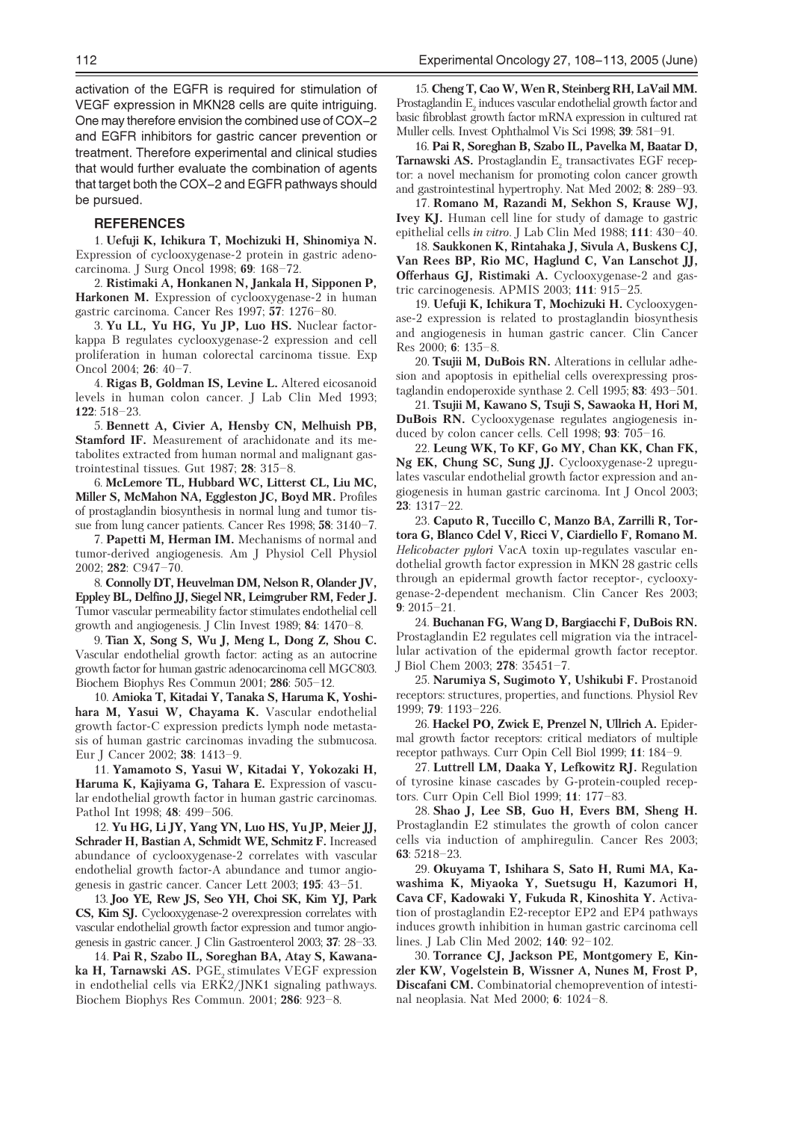activation of the EGFR is required for stimulation of VEGF expression in MKN28 cells are quite intriguing. One may therefore envision the combined use of COX-2 and EGFR inhibitors for gastric cancer prevention or treatment. Therefore experimental and clinical studies that would further evaluate the combination of agents that target both the COX-2 and EGFR pathways should be pursued.

#### **REFERENCES**

1. Uefuji K, Ichikura T, Mochizuki H, Shinomiya N. Expression of cyclooxygenase-2 protein in gastric adenocarcinoma. J Surg Oncol 1998; 69: 168-72.

2. Ristimaki A, Honkanen N, Jankala H, Sipponen P, Harkonen M. Expression of cyclooxygenase-2 in human gastric carcinoma. Cancer Res 1997; 57: 1276-80.

3. Yu LL, Yu HG, Yu JP, Luo HS. Nuclear factorkappa B regulates cyclooxygenase-2 expression and cell proliferation in human colorectal carcinoma tissue. Exp Oncol 2004; 26: 40-7.

4. Rigas B, Goldman IS, Levine L. Altered eicosanoid levels in human colon cancer. J Lab Clin Med 1993; 122: 518-23.

5. Bennett A, Civier A, Hensby CN, Melhuish PB, Stamford IF. Measurement of arachidonate and its metabolites extracted from human normal and malignant gastrointestinal tissues. Gut  $1987$ ;  $28$ :  $315-8$ .

6. McLemore TL, Hubbard WC, Litterst CL, Liu MC, Miller S, McMahon NA, Eggleston JC, Boyd MR. Profiles of prostaglandin biosynthesis in normal lung and tumor tissue from lung cancer patients. Cancer Res 1998, 58: 3140-7.

7. Papetti M, Herman IM. Mechanisms of normal and tumor-derived angiogenesis. Am J Physiol Cell Physiol 2002; 282: C947-70.

8. Connolly DT, Heuvelman DM, Nelson R, Olander JV, Eppley BL, Delfino JJ, Siegel NR, Leimgruber RM, Feder J. Tumor vascular permeability factor stimulates endothelial cell growth and angiogenesis. J Clin Invest 1989; 84: 1470-8.

9. Tian X, Song S, Wu J, Meng L, Dong Z, Shou C. Vascular endothelial growth factor: acting as an autocrine growth factor for human gastric adenocarcinoma cell MGC803. Biochem Biophys Res Commun 2001; 286: 505-12.

10. Amioka T, Kitadai Y, Tanaka S, Haruma K, Yoshihara M, Yasui W, Chayama K. Vascular endothelial growth factor-C expression predicts lymph node metastasis of human gastric carcinomas invading the submucosa. Eur J Cancer 2002; 38: 1413-9.

11. Yamamoto S, Yasui W, Kitadai Y, Yokozaki H, Haruma K, Kajiyama G, Tahara E. Expression of vascular endothelial growth factor in human gastric carcinomas. Pathol Int 1998; 48: 499-506.

12. Yu HG, Li JY, Yang YN, Luo HS, Yu JP, Meier JJ, Schrader H, Bastian A, Schmidt WE, Schmitz F. Increased abundance of cyclooxygenase-2 correlates with vascular endothelial growth factor-A abundance and tumor angiogenesis in gastric cancer. Cancer Lett 2003; 195: 43-51.

13. Joo YE, Rew JS, Seo YH, Choi SK, Kim YJ, Park CS, Kim SJ. Cyclooxygenase-2 overexpression correlates with vascular endothelial growth factor expression and tumor angiogenesis in gastric cancer. [ Clin Gastroenterol 2003: 37: 28-33.]

14. Pai R. Szabo IL. Soreghan BA, Atav S. Kawanaka H, Tarnawski AS. PGE, stimulates VEGF expression in endothelial cells via ERK2/JNK1 signaling pathways. Biochem Biophys Res Commun. 2001; 286: 923-8.

15. Cheng T, Cao W, Wen R, Steinberg RH, LaVail MM. Prostaglandin E, induces vascular endothelial growth factor and basic fibroblast growth factor mRNA expression in cultured rat Muller cells. Invest Ophthalmol Vis Sci 1998; 39: 581-91.

16. Pai R. Soreghan B. Szabo IL. Pavelka M. Baatar D. Tarnawski AS. Prostaglandin E, transactivates EGF receptor: a novel mechanism for promoting colon cancer growth and gastrointestinal hypertrophy. Nat Med 2002; 8: 289-93.

17. Romano M, Razandi M, Sekhon S, Krause WJ, **Ivey KJ.** Human cell line for study of damage to gastric epithelial cells in vitro. J Lab Clin Med 1988; 111: 430-40.

18. Saukkonen K, Rintahaka J, Sivula A, Buskens CJ, Van Rees BP, Rio MC, Haglund C, Van Lanschot JJ, Offerhaus GJ, Ristimaki A. Cyclooxygenase-2 and gastric carcinogenesis. APMIS 2003;  $111: 915-25$ .

19. Uefuji K, Ichikura T, Mochizuki H. Cyclooxygenase-2 expression is related to prostagland in biosynthesis and angiogenesis in human gastric cancer. Clin Cancer Res 2000; 6:  $135-8$ .

20. Tsujii M, DuBois RN. Alterations in cellular adhesion and apoptosis in epithelial cells over expressing prostaglandin endoperoxide synthase 2. Cell 1995;  $83:493-501$ .

21. Tsujii M, Kawano S, Tsuji S, Sawaoka H, Hori M, DuBois RN. Cyclooxygenase regulates angiogenesis induced by colon cancer cells. Cell 1998: 93: 705-16.

22. Leung WK, To KF, Go MY, Chan KK, Chan FK, Ng EK, Chung SC, Sung JJ. Cyclooxygenase-2 upregulates vascular endothelial growth factor expression and angiogenesis in human gastric carcinoma. Int J Oncol 2003; 23: 1317-22.

23. Caputo R, Tuccillo C, Manzo BA, Zarrilli R, Tortora G, Blanco Cdel V, Ricci V, Ciardiello F, Romano M. Helicobacter pylori VacA toxin up-regulates vascular endothelial growth factor expression in MKN 28 gastric cells through an epidermal growth factor receptor-, cyclooxygenase-2-dependent mechanism. Clin Cancer Res 2003;  $9:2015 - 21.$ 

24. Buchanan FG, Wang D, Bargiacchi F, DuBois RN. Prostaglandin E2 regulates cell migration via the intracellular activation of the epidermal growth factor receptor. J Biol Chem 2003; 278: 35451-7.

25. Narumiya S, Sugimoto Y, Ushikubi F. Prostanoid receptors: structures, properties, and functions. Physiol Rev 1999; 79: 1193-226.

26. Hackel PO, Zwick E, Prenzel N, Ullrich A. Epidermal growth factor receptors: critical mediators of multiple receptor pathways. Curr Opin Cell Biol 1999; 11: 184-9.

27. Luttrell LM, Daaka Y, Lefkowitz RJ. Regulation of tyrosine kinase cascades by G-protein-coupled receptors. Curr Opin Cell Biol 1999: 11: 177-83.

28. Shao J. Lee SB. Guo H. Evers BM. Sheng H. Prostaglandin E2 stimulates the growth of colon cancer cells via induction of amphiregulin. Cancer Res 2003; 63: 5218-23.

29. Okuyama T, Ishihara S, Sato H, Rumi MA, Kawashima K, Miyaoka Y, Suetsugu H, Kazumori H, Cava CF, Kadowaki Y, Fukuda R, Kinoshita Y. Activation of prostaglandin E2-receptor EP2 and EP4 pathways induces growth inhibition in human gastric carcinoma cell lines. J Lab Clin Med 2002; 140: 92-102.

30. Torrance CJ, Jackson PE, Montgomery E, Kinzler KW, Vogelstein B, Wissner A, Nunes M, Frost P, Discafani CM. Combinatorial chemoprevention of intestinal neoplasia. Nat Med 2000; 6: 1024-8.